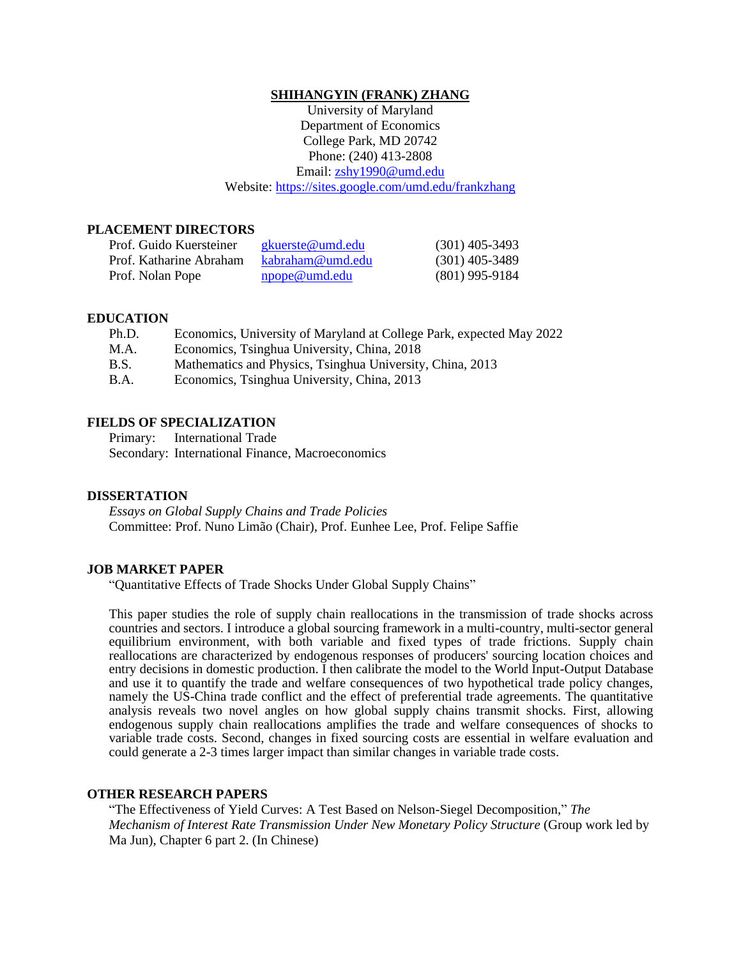#### **SHIHANGYIN (FRANK) ZHANG**

University of Maryland Department of Economics College Park, MD 20742 Phone: (240) 413-2808 Email: [zshy1990@umd.edu](mailto:zshy1990@umd.edu) Website:<https://sites.google.com/umd.edu/frankzhang>

## **PLACEMENT DIRECTORS**

| Prof. Guido Kuersteiner | gkuerste@umd.edu     | $(301)$ 405-3493 |
|-------------------------|----------------------|------------------|
| Prof. Katharine Abraham | kabraham@umd.edu     | $(301)$ 405-3489 |
| Prof. Nolan Pope        | <u>npope@umd.edu</u> | $(801)$ 995-9184 |

### **EDUCATION**

| Ph.D.       | Economics, University of Maryland at College Park, expected May 2022 |
|-------------|----------------------------------------------------------------------|
| M.A.        | Economics, Tsinghua University, China, 2018                          |
| B.S.        | Mathematics and Physics, Tsinghua University, China, 2013            |
| <b>B.A.</b> | Economics, Tsinghua University, China, 2013                          |

#### **FIELDS OF SPECIALIZATION**

Primary: International Trade

Secondary: International Finance, Macroeconomics

#### **DISSERTATION**

*Essays on Global Supply Chains and Trade Policies* Committee: Prof. Nuno Limão (Chair), Prof. Eunhee Lee, Prof. Felipe Saffie

#### **JOB MARKET PAPER**

"Quantitative Effects of Trade Shocks Under Global Supply Chains"

This paper studies the role of supply chain reallocations in the transmission of trade shocks across countries and sectors. I introduce a global sourcing framework in a multi-country, multi-sector general equilibrium environment, with both variable and fixed types of trade frictions. Supply chain reallocations are characterized by endogenous responses of producers' sourcing location choices and entry decisions in domestic production. I then calibrate the model to the World Input-Output Database and use it to quantify the trade and welfare consequences of two hypothetical trade policy changes, namely the US-China trade conflict and the effect of preferential trade agreements. The quantitative analysis reveals two novel angles on how global supply chains transmit shocks. First, allowing endogenous supply chain reallocations amplifies the trade and welfare consequences of shocks to variable trade costs. Second, changes in fixed sourcing costs are essential in welfare evaluation and could generate a 2-3 times larger impact than similar changes in variable trade costs.

## **OTHER RESEARCH PAPERS**

"The Effectiveness of Yield Curves: A Test Based on Nelson-Siegel Decomposition," *The Mechanism of Interest Rate Transmission Under New Monetary Policy Structure* (Group work led by Ma Jun), Chapter 6 part 2. (In Chinese)